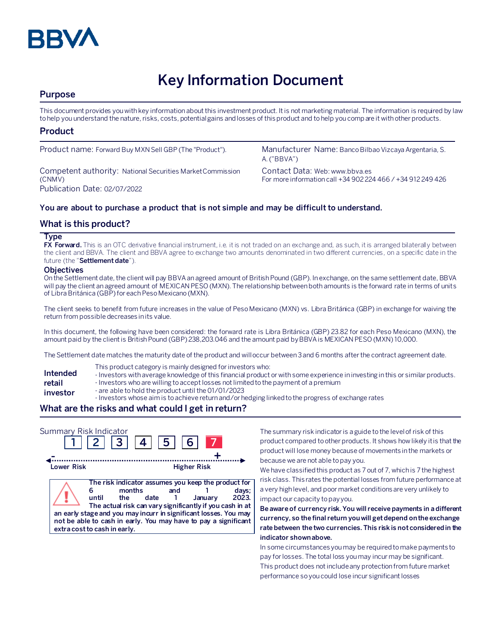

# **Key Information Document**

# **Purpose**

This document provides you with key information about this investment product. It is not marketing material. The information is required by law to help you understand the nature, risks, costs, potential gains and losses of this product and to help you compare it with other products.

## **Product**

Competent authority: National Securities Market Commission (CNMV) Publication Date: 02/07/2022

Product name: Forward Buy MXN Sell GBP (The "Product"). Manufacturer Name: Banco Bilbao Vizcaya Argentaria, S. A. ("BBVA")

> Contact Data: Web: www.bbva.es For more information call +34 902 224 466 / +34 912 249 426

## **You are about to purchase a product that is not simple and may be difficult to understand.**

## **What is this product?**

#### **Type**

**FX Forward.** This is an OTC derivative financial instrument, i.e. it is not traded on an exchange and, as such, it is arranged bilaterally between the client and BBVA. The client and BBVA agree to exchange two amounts denominated in two different currencies, on a specific date in the future (the "**Settlement date**").

#### **Objectives**

On the Settlement date, the client will pay BBVA an agreed amount of British Pound (GBP). In exchange, on the same settlement date, BBVA will pay the client an agreed amount of MEXICAN PESO (MXN). The relationship between both amounts is the forward rate in terms of units of Libra Británica (GBP) for each Peso Mexicano (MXN).

The client seeks to benefit from future increases in the value of Peso Mexicano (MXN) vs. Libra Británica (GBP) in exchange for waiving the return from possible decreases in its value.

In this document, the following have been considered: the forward rate is Libra Británica (GBP) 23.82 for each Peso Mexicano (MXN), the amount paid by the client is British Pound (GBP) 238,203.046 and the amount paid by BBVA is MEXICAN PESO (MXN) 10,000.

The Settlement date matches the maturity date of the product and will occur between 3 and 6 months after the contract agreement date.

- This product category is mainly designed for investors who:
- **Intended**  - Investors with average knowledge of this financial product or with some experience in investing in this or similar products.
- **retail**  - Investors who are willing to accept losses not limited to the payment of a premium
- **investor** - are able to hold the product until the 01/01/2023
	- Investors whose aim is to achieve return and/or hedging linked to the progress of exchange rates

# **What are the risks and what could I get in return?**

| Summary Risk Indicator | 2  3  4                                                                                                                                                                                                                                                                                                          | 5           | 6 <sup>1</sup>     |                           |
|------------------------|------------------------------------------------------------------------------------------------------------------------------------------------------------------------------------------------------------------------------------------------------------------------------------------------------------------|-------------|--------------------|---------------------------|
| Lower Risk             |                                                                                                                                                                                                                                                                                                                  |             | <b>Higher Risk</b> |                           |
|                        | The risk indicator assumes you keep the product for<br>months<br>until<br>the<br>The actual risk can vary significantly if you cash in at<br>an early stage and you may incurr in significant losses. You may<br>not be able to cash in early. You may have to pay a significant<br>extra cost to cash in early. | and<br>date |                    | days;<br>2023.<br>Januarv |

The summary risk indicator is a guide to the level of risk of this product compared to other products. It shows how likely it is that the product will lose money because of movements in the markets or because we are not able to pay you.

We have classified this product as 7 out of 7, which is 7 the highest risk class. This rates the potential losses from future performance at a very high level, and poor market conditions are very unlikely to impact our capacity to pay you.

**Be aware of currency risk. You will receive payments in a different currency, so the final return you will get depend on the exchange rate between the two currencies. This risk is not considered in the indicator shown above.**

In some circumstances you may be required to make payments to pay for losses. The total loss you may incur may be significant. This product does not include any protection from future market performance so you could lose incur significant losses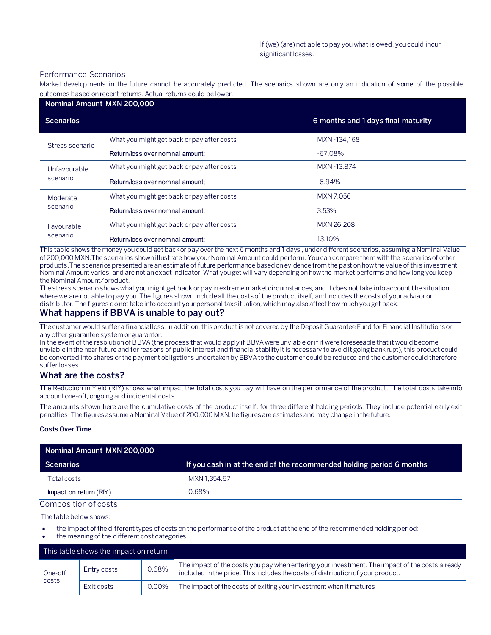#### Performance Scenarios

Market developments in the future cannot be accurately predicted. The scenarios shown are only an indication of some of the p ossible outcomes based on recent returns. Actual returns could be lower.

| Nominal Amount MXN 200,000 |                                            |                                    |  |  |
|----------------------------|--------------------------------------------|------------------------------------|--|--|
| <b>Scenarios</b>           |                                            | 6 months and 1 days final maturity |  |  |
| Stress scenario            | What you might get back or pay after costs | MXN-134.168                        |  |  |
|                            | Return/loss over nominal amount:           | $-67.08\%$                         |  |  |
| Unfavourable<br>scenario   | What you might get back or pay after costs | MXN-13.874                         |  |  |
|                            | Return/loss over nominal amount:           | $-6.94\%$                          |  |  |
| Moderate<br>scenario       | What you might get back or pay after costs | MXN 7.056                          |  |  |
|                            | Return/loss over nominal amount:           | 3.53%                              |  |  |
| Favourable<br>scenario     | What you might get back or pay after costs | MXN 26,208                         |  |  |
|                            | Return/loss over nominal amount:           | 13.10%                             |  |  |

This table shows the money you could get back or pay over the next 6 months and 1 days , under different scenarios, assuming a Nominal Value of 200,000 MXN.The scenarios shown illustrate how your Nominal Amount could perform. You can compare them with the scenarios of other products.The scenarios presented are an estimate of future performance based on evidence from the past on how the value of this investment Nominal Amount varies, and are not an exact indicator. What you get will vary depending on how the market performs and how long you keep the Nominal Amount/product.

The stress scenario shows what you might get back or pay in extreme market circumstances, and it does not take into account the situation where we are not able to pay you. The figures shown include all the costs of the product itself, and includes the costs of your advisor or distributor. The figures do not take into account your personal tax situation, which may also affect how much you get back.

## **What happens if BBVA is unable to pay out?**

The customer would suffer a financial loss. In addition, this product is not covered by the Deposit Guarantee Fund for Financial Institutions or any other guarantee system or guarantor.

In the event of the resolution of BBVA (the process that would apply if BBVA were unviable or if it were foreseeable that it would become unviable in the near future and for reasons of public interest and financial stability it is necessary to avoid it going bankrupt), this product could be converted into shares or the payment obligations undertaken by BBVA to the customer could be reduced and the customer could therefore suffer losses.

## **What are the costs?**

The Reduction in Yield (RIY) shows what impact the total costs you pay will have on the performance of the product. The total costs take into account one-off, ongoing and incidental costs

The amounts shown here are the cumulative costs of the product itself, for three different holding periods. They include potential early exit penalties. The figures assume a Nominal Value of 200,000 MXN. he figures are estimates and may change in the future.

#### **Costs Over Time**

| Nominal Amount MXN 200,000 |                                                                      |
|----------------------------|----------------------------------------------------------------------|
| <b>Scenarios</b>           | If you cash in at the end of the recommended holding period 6 months |
| Total costs                | MXN 1.354.67                                                         |
| Impact on return (RIY)     | 0.68%                                                                |

#### Composition of costs

The table below shows:

- the impact of the different types of costs on the performance of the product at the end of the recommended holding period;
- the meaning of the different cost categories.

|                  | This table shows the impact on return |       |                                                                                                                                                                                   |
|------------------|---------------------------------------|-------|-----------------------------------------------------------------------------------------------------------------------------------------------------------------------------------|
| One-off<br>costs | Entry costs                           | 0.68% | The impact of the costs you pay when entering your investment. The impact of the costs already<br>included in the price. This includes the costs of distribution of your product. |
|                  | Exit costs                            | 0.00% | The impact of the costs of exiting your investment when it matures                                                                                                                |